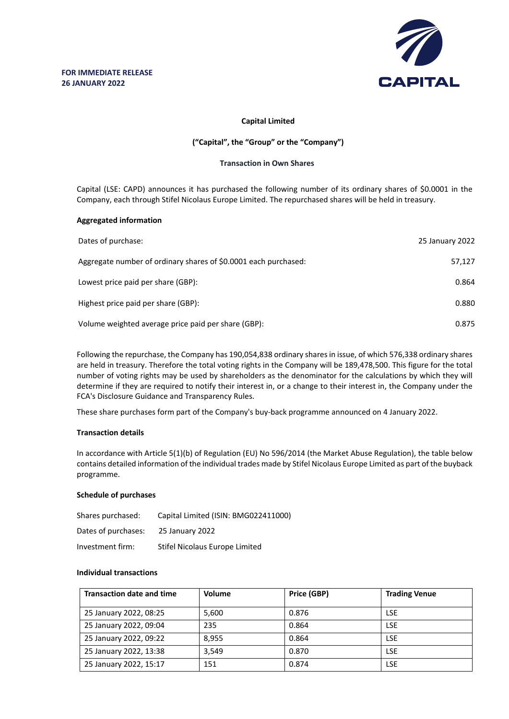

# **Capital Limited**

# **("Capital", the "Group" or the "Company")**

# **Transaction in Own Shares**

Capital (LSE: CAPD) announces it has purchased the following number of its ordinary shares of \$0.0001 in the Company, each through Stifel Nicolaus Europe Limited. The repurchased shares will be held in treasury.

# **Aggregated information**

| Dates of purchase:                                              | 25 January 2022 |
|-----------------------------------------------------------------|-----------------|
| Aggregate number of ordinary shares of \$0.0001 each purchased: | 57,127          |
| Lowest price paid per share (GBP):                              | 0.864           |
| Highest price paid per share (GBP):                             | 0.880           |
| Volume weighted average price paid per share (GBP):             | 0.875           |

Following the repurchase, the Company has 190,054,838 ordinary shares in issue, of which 576,338 ordinary shares are held in treasury. Therefore the total voting rights in the Company will be 189,478,500. This figure for the total number of voting rights may be used by shareholders as the denominator for the calculations by which they will determine if they are required to notify their interest in, or a change to their interest in, the Company under the FCA's Disclosure Guidance and Transparency Rules.

These share purchases form part of the Company's buy-back programme announced on 4 January 2022.

# **Transaction details**

In accordance with Article 5(1)(b) of Regulation (EU) No 596/2014 (the Market Abuse Regulation), the table below contains detailed information of the individual trades made by Stifel Nicolaus Europe Limited as part of the buyback programme.

# **Schedule of purchases**

| Shares purchased:   | Capital Limited (ISIN: BMG022411000) |
|---------------------|--------------------------------------|
| Dates of purchases: | 25 January 2022                      |
| Investment firm:    | Stifel Nicolaus Europe Limited       |

### **Individual transactions**

| <b>Transaction date and time</b> | Volume | Price (GBP) | <b>Trading Venue</b> |
|----------------------------------|--------|-------------|----------------------|
| 25 January 2022, 08:25           | 5,600  | 0.876       | <b>LSE</b>           |
| 25 January 2022, 09:04           | 235    | 0.864       | <b>LSE</b>           |
| 25 January 2022, 09:22           | 8.955  | 0.864       | <b>LSE</b>           |
| 25 January 2022, 13:38           | 3.549  | 0.870       | <b>LSE</b>           |
| 25 January 2022, 15:17           | 151    | 0.874       | <b>LSE</b>           |